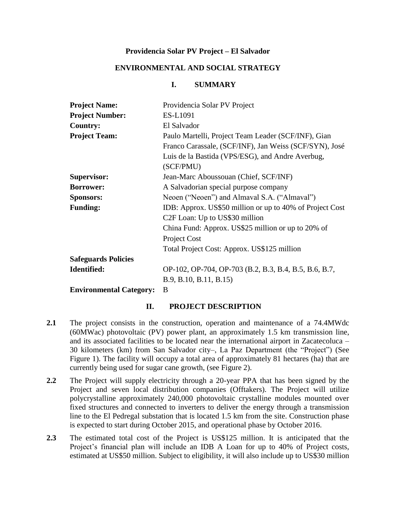### **Providencia Solar PV Project – El Salvador**

### **ENVIRONMENTAL AND SOCIAL STRATEGY**

### **I. SUMMARY**

| <b>Project Name:</b>           | Providencia Solar PV Project                             |
|--------------------------------|----------------------------------------------------------|
| <b>Project Number:</b>         | ES-L1091                                                 |
| <b>Country:</b>                | El Salvador                                              |
| <b>Project Team:</b>           | Paulo Martelli, Project Team Leader (SCF/INF), Gian      |
|                                | Franco Carassale, (SCF/INF), Jan Weiss (SCF/SYN), José   |
|                                | Luis de la Bastida (VPS/ESG), and Andre Averbug,         |
|                                | (SCF/PMU)                                                |
| <b>Supervisor:</b>             | Jean-Marc Aboussouan (Chief, SCF/INF)                    |
| <b>Borrower:</b>               | A Salvadorian special purpose company                    |
| <b>Sponsors:</b>               | Neoen ("Neoen") and Almaval S.A. ("Almaval")             |
| <b>Funding:</b>                | IDB: Approx. US\$50 million or up to 40% of Project Cost |
|                                | C <sub>2</sub> F Loan: Up to US\$30 million              |
|                                | China Fund: Approx. US\$25 million or up to 20% of       |
|                                | Project Cost                                             |
|                                | Total Project Cost: Approx. US\$125 million              |
| <b>Safeguards Policies</b>     |                                                          |
| Identified:                    | OP-102, OP-704, OP-703 (B.2, B.3, B.4, B.5, B.6, B.7,    |
|                                | B.9, B.10, B.11, B.15)                                   |
| <b>Environmental Category:</b> | B                                                        |

#### **II. PROJECT DESCRIPTION**

- **2.1** The project consists in the construction, operation and maintenance of a 74.4MWdc (60MWac) photovoltaic (PV) power plant, an approximately 1.5 km transmission line, and its associated facilities to be located near the international airport in Zacatecoluca – 30 kilometers (km) from San Salvador city–, La Paz Department (the "Project") (See Figure 1). The facility will occupy a total area of approximately 81 hectares (ha) that are currently being used for sugar cane growth, (see Figure 2).
- **2.2** The Project will supply electricity through a 20-year PPA that has been signed by the Project and seven local distribution companies (Offtakers). The Project will utilize polycrystalline approximately 240,000 photovoltaic crystalline modules mounted over fixed structures and connected to inverters to deliver the energy through a transmission line to the El Pedregal substation that is located 1.5 km from the site. Construction phase is expected to start during October 2015, and operational phase by October 2016.
- **2.3** The estimated total cost of the Project is US\$125 million. It is anticipated that the Project's financial plan will include an IDB A Loan for up to 40% of Project costs, estimated at US\$50 million. Subject to eligibility, it will also include up to US\$30 million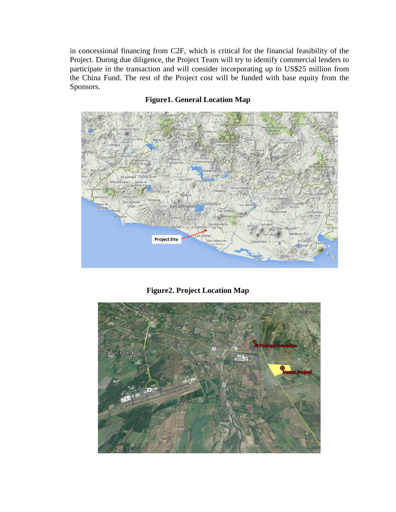in concessional financing from C2F, which is critical for the financial feasibility of the Project. During due diligence, the Project Team will try to identify commercial lenders to participate in the transaction and will consider incorporating up to US\$25 million from the China Fund. The rest of the Project cost will be funded with base equity from the Sponsors.



# **Figure1. General Location Map**

**Figure2. Project Location Map**

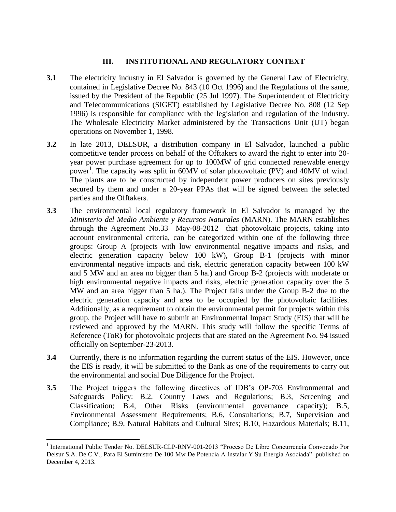### **III. INSTITUTIONAL AND REGULATORY CONTEXT**

- **3.1** The electricity industry in El Salvador is governed by the General Law of Electricity, contained in Legislative Decree No. 843 (10 Oct 1996) and the Regulations of the same, issued by the President of the Republic (25 Jul 1997). The Superintendent of Electricity and Telecommunications (SIGET) established by Legislative Decree No. 808 (12 Sep 1996) is responsible for compliance with the legislation and regulation of the industry. The Wholesale Electricity Market administered by the Transactions Unit (UT) began operations on November 1, 1998.
- **3.2** In late 2013, DELSUR, a distribution company in El Salvador, launched a public competitive tender process on behalf of the Offtakers to award the right to enter into 20 year power purchase agreement for up to 100MW of grid connected renewable energy power<sup>1</sup>. The capacity was split in 60MV of solar photovoltaic (PV) and 40MV of wind. The plants are to be constructed by independent power producers on sites previously secured by them and under a 20-year PPAs that will be signed between the selected parties and the Offtakers.
- **3.3** The environmental local regulatory framework in El Salvador is managed by the *Ministerio del Medio Ambiente y Recursos Naturales* (MARN). The MARN establishes through the Agreement No.33 –May-08-2012– that photovoltaic projects, taking into account environmental criteria, can be categorized within one of the following three groups: Group A (projects with low environmental negative impacts and risks, and electric generation capacity below 100 kW), Group B-1 (projects with minor environmental negative impacts and risk, electric generation capacity between 100 kW and 5 MW and an area no bigger than 5 ha.) and Group B-2 (projects with moderate or high environmental negative impacts and risks, electric generation capacity over the 5 MW and an area bigger than 5 ha.). The Project falls under the Group B-2 due to the electric generation capacity and area to be occupied by the photovoltaic facilities. Additionally, as a requirement to obtain the environmental permit for projects within this group, the Project will have to submit an Environmental Impact Study (EIS) that will be reviewed and approved by the MARN. This study will follow the specific Terms of Reference (ToR) for photovoltaic projects that are stated on the Agreement No. 94 issued officially on September-23-2013.
- **3.4** Currently, there is no information regarding the current status of the EIS. However, once the EIS is ready, it will be submitted to the Bank as one of the requirements to carry out the environmental and social Due Diligence for the Project.
- **3.5** The Project triggers the following directives of IDB's OP-703 Environmental and Safeguards Policy: B.2, Country Laws and Regulations; B.3, Screening and Classification; B.4, Other Risks (environmental governance capacity); B.5, Environmental Assessment Requirements; B.6, Consultations; B.7, Supervision and Compliance; B.9, Natural Habitats and Cultural Sites; B.10, Hazardous Materials; B.11,

 $\overline{\phantom{a}}$ <sup>1</sup> International Public Tender No. DELSUR-CLP-RNV-001-2013 "Proceso De Libre Concurrencia Convocado Por Delsur S.A. De C.V., Para El Suministro De 100 Mw De Potencia A Instalar Y Su Energía Asociada" published on December 4, 2013.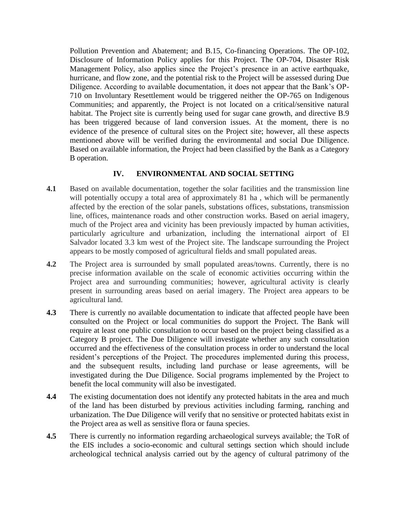Pollution Prevention and Abatement; and B.15, Co-financing Operations. The OP-102, Disclosure of Information Policy applies for this Project. The OP-704, Disaster Risk Management Policy, also applies since the Project's presence in an active earthquake, hurricane, and flow zone, and the potential risk to the Project will be assessed during Due Diligence. According to available documentation, it does not appear that the Bank's OP-710 on Involuntary Resettlement would be triggered neither the OP-765 on Indigenous Communities; and apparently, the Project is not located on a critical/sensitive natural habitat. The Project site is currently being used for sugar cane growth, and directive B.9 has been triggered because of land conversion issues. At the moment, there is no evidence of the presence of cultural sites on the Project site; however, all these aspects mentioned above will be verified during the environmental and social Due Diligence. Based on available information, the Project had been classified by the Bank as a Category B operation.

### **IV. ENVIRONMENTAL AND SOCIAL SETTING**

- **4.1** Based on available documentation, together the solar facilities and the transmission line will potentially occupy a total area of approximately 81 ha, which will be permanently affected by the erection of the solar panels, substations offices, substations, transmission line, offices, maintenance roads and other construction works. Based on aerial imagery, much of the Project area and vicinity has been previously impacted by human activities, particularly agriculture and urbanization, including the international airport of El Salvador located 3.3 km west of the Project site. The landscape surrounding the Project appears to be mostly composed of agricultural fields and small populated areas.
- **4.2** The Project area is surrounded by small populated areas/towns. Currently, there is no precise information available on the scale of economic activities occurring within the Project area and surrounding communities; however, agricultural activity is clearly present in surrounding areas based on aerial imagery. The Project area appears to be agricultural land.
- **4.3** There is currently no available documentation to indicate that affected people have been consulted on the Project or local communities do support the Project. The Bank will require at least one public consultation to occur based on the project being classified as a Category B project. The Due Diligence will investigate whether any such consultation occurred and the effectiveness of the consultation process in order to understand the local resident's perceptions of the Project. The procedures implemented during this process, and the subsequent results, including land purchase or lease agreements, will be investigated during the Due Diligence. Social programs implemented by the Project to benefit the local community will also be investigated.
- **4.4** The existing documentation does not identify any protected habitats in the area and much of the land has been disturbed by previous activities including farming, ranching and urbanization. The Due Diligence will verify that no sensitive or protected habitats exist in the Project area as well as sensitive flora or fauna species.
- **4.5** There is currently no information regarding archaeological surveys available; the ToR of the EIS includes a socio-economic and cultural settings section which should include archeological technical analysis carried out by the agency of cultural patrimony of the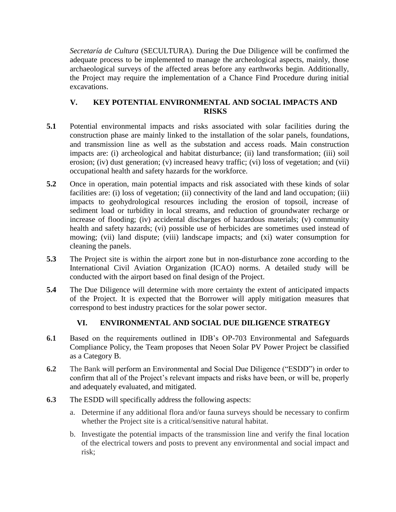*Secretaría de Cultura* (SECULTURA). During the Due Diligence will be confirmed the adequate process to be implemented to manage the archeological aspects, mainly, those archaeological surveys of the affected areas before any earthworks begin. Additionally, the Project may require the implementation of a Chance Find Procedure during initial excavations.

## **V. KEY POTENTIAL ENVIRONMENTAL AND SOCIAL IMPACTS AND RISKS**

- **5.1** Potential environmental impacts and risks associated with solar facilities during the construction phase are mainly linked to the installation of the solar panels, foundations, and transmission line as well as the substation and access roads. Main construction impacts are: (i) archeological and habitat disturbance; (ii) land transformation; (iii) soil erosion; (iv) dust generation; (v) increased heavy traffic; (vi) loss of vegetation; and (vii) occupational health and safety hazards for the workforce.
- **5.2** Once in operation, main potential impacts and risk associated with these kinds of solar facilities are: (i) loss of vegetation; (ii) connectivity of the land and land occupation; (iii) impacts to geohydrological resources including the erosion of topsoil, increase of sediment load or turbidity in local streams, and reduction of groundwater recharge or increase of flooding; (iv) accidental discharges of hazardous materials; (v) community health and safety hazards; (vi) possible use of herbicides are sometimes used instead of mowing; (vii) land dispute; (viii) landscape impacts; and (xi) water consumption for cleaning the panels.
- **5.3** The Project site is within the airport zone but in non-disturbance zone according to the International Civil Aviation Organization (ICAO) norms. A detailed study will be conducted with the airport based on final design of the Project.
- **5.4** The Due Diligence will determine with more certainty the extent of anticipated impacts of the Project. It is expected that the Borrower will apply mitigation measures that correspond to best industry practices for the solar power sector.

# **VI. ENVIRONMENTAL AND SOCIAL DUE DILIGENCE STRATEGY**

- **6.1** Based on the requirements outlined in IDB's OP-703 Environmental and Safeguards Compliance Policy, the Team proposes that Neoen Solar PV Power Project be classified as a Category B.
- **6.2** The Bank will perform an Environmental and Social Due Diligence ("ESDD") in order to confirm that all of the Project's relevant impacts and risks have been, or will be, properly and adequately evaluated, and mitigated.
- **6.3** The ESDD will specifically address the following aspects:
	- a. Determine if any additional flora and/or fauna surveys should be necessary to confirm whether the Project site is a critical/sensitive natural habitat.
	- b. Investigate the potential impacts of the transmission line and verify the final location of the electrical towers and posts to prevent any environmental and social impact and risk;